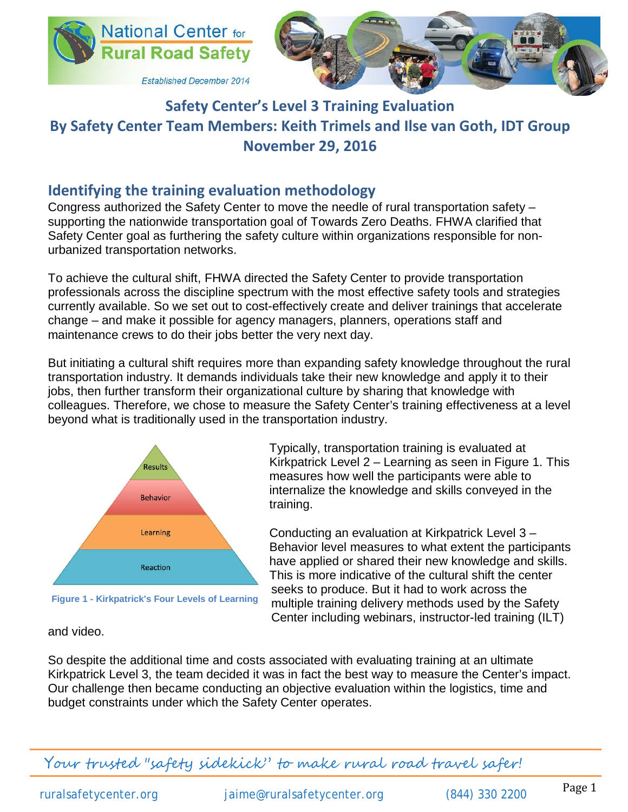



# **Safety Center's Level 3 Training Evaluation By Safety Center Team Members: Keith Trimels and Ilse van Goth, IDT Group November 29, 2016**

# **Identifying the training evaluation methodology**

Congress authorized the Safety Center to move the needle of rural transportation safety – supporting the nationwide transportation goal of Towards Zero Deaths. FHWA clarified that Safety Center goal as furthering the safety culture within organizations responsible for nonurbanized transportation networks.

To achieve the cultural shift, FHWA directed the Safety Center to provide transportation professionals across the discipline spectrum with the most effective safety tools and strategies currently available. So we set out to cost-effectively create and deliver trainings that accelerate change – and make it possible for agency managers, planners, operations staff and maintenance crews to do their jobs better the very next day.

But initiating a cultural shift requires more than expanding safety knowledge throughout the rural transportation industry. It demands individuals take their new knowledge and apply it to their jobs, then further transform their organizational culture by sharing that knowledge with colleagues. Therefore, we chose to measure the Safety Center's training effectiveness at a level beyond what is traditionally used in the transportation industry.



**Figure 1 - Kirkpatrick's Four Levels of Learning**

Typically, transportation training is evaluated at Kirkpatrick Level 2 – Learning as seen in Figure 1. This measures how well the participants were able to internalize the knowledge and skills conveyed in the training.

Conducting an evaluation at Kirkpatrick Level 3 – Behavior level measures to what extent the participants have applied or shared their new knowledge and skills. This is more indicative of the cultural shift the center seeks to produce. But it had to work across the multiple training delivery methods used by the Safety Center including webinars, instructor-led training (ILT)

#### and video.

So despite the additional time and costs associated with evaluating training at an ultimate Kirkpatrick Level 3, the team decided it was in fact the best way to measure the Center's impact. Our challenge then became conducting an objective evaluation within the logistics, time and budget constraints under which the Safety Center operates.

Your trusted "safety sidekick" to make rural road travel safer!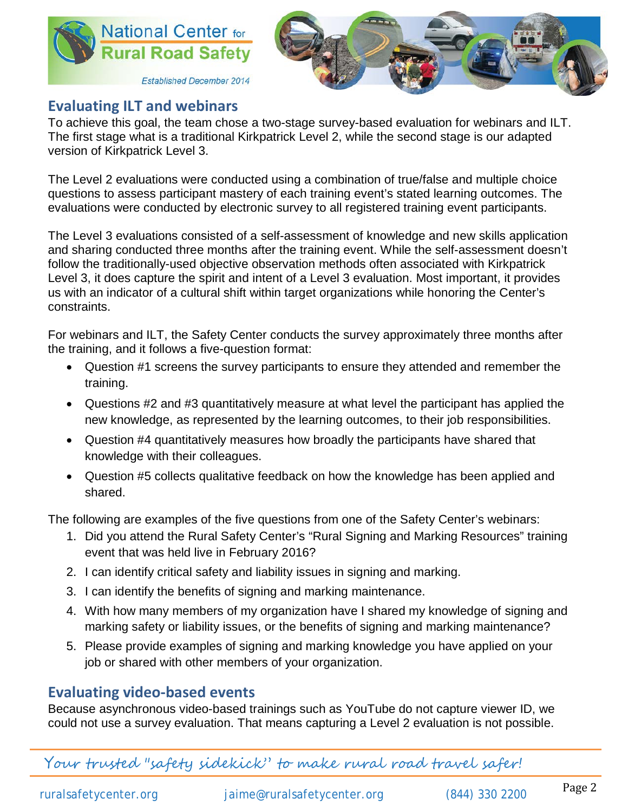



# **Evaluating ILT and webinars**

To achieve this goal, the team chose a two-stage survey-based evaluation for webinars and ILT. The first stage what is a traditional Kirkpatrick Level 2, while the second stage is our adapted version of Kirkpatrick Level 3.

The Level 2 evaluations were conducted using a combination of true/false and multiple choice questions to assess participant mastery of each training event's stated learning outcomes. The evaluations were conducted by electronic survey to all registered training event participants.

The Level 3 evaluations consisted of a self-assessment of knowledge and new skills application and sharing conducted three months after the training event. While the self-assessment doesn't follow the traditionally-used objective observation methods often associated with Kirkpatrick Level 3, it does capture the spirit and intent of a Level 3 evaluation. Most important, it provides us with an indicator of a cultural shift within target organizations while honoring the Center's constraints.

For webinars and ILT, the Safety Center conducts the survey approximately three months after the training, and it follows a five-question format:

- Question #1 screens the survey participants to ensure they attended and remember the training.
- Questions #2 and #3 quantitatively measure at what level the participant has applied the new knowledge, as represented by the learning outcomes, to their job responsibilities.
- Question #4 quantitatively measures how broadly the participants have shared that knowledge with their colleagues.
- Question #5 collects qualitative feedback on how the knowledge has been applied and shared.

The following are examples of the five questions from one of the Safety Center's webinars:

- 1. Did you attend the Rural Safety Center's "Rural Signing and Marking Resources" training event that was held live in February 2016?
- 2. I can identify critical safety and liability issues in signing and marking.
- 3. I can identify the benefits of signing and marking maintenance.
- 4. With how many members of my organization have I shared my knowledge of signing and marking safety or liability issues, or the benefits of signing and marking maintenance?
- 5. Please provide examples of signing and marking knowledge you have applied on your job or shared with other members of your organization.

## **Evaluating video-based events**

Because asynchronous video-based trainings such as YouTube do not capture viewer ID, we could not use a survey evaluation. That means capturing a Level 2 evaluation is not possible.

Your trusted "safety sidekick" to make rural road travel safer!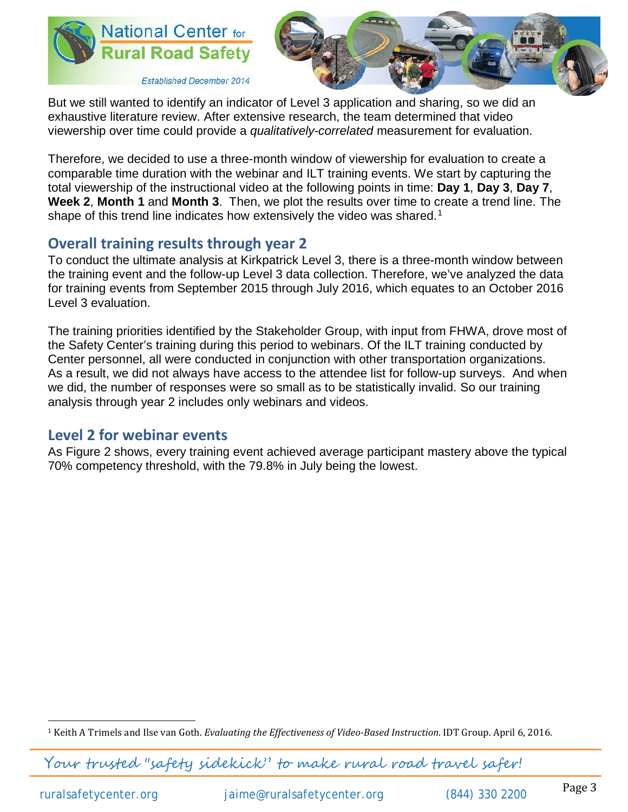



But we still wanted to identify an indicator of Level 3 application and sharing, so we did an exhaustive literature review. After extensive research, the team determined that video viewership over time could provide a *qualitatively-correlated* measurement for evaluation.

Therefore, we decided to use a three-month window of viewership for evaluation to create a comparable time duration with the webinar and ILT training events. We start by capturing the total viewership of the instructional video at the following points in time: **Day 1**, **Day 3**, **Day 7**, **Week 2**, **Month 1** and **Month 3**. Then, we plot the results over time to create a trend line. The shape of this trend line indicates how extensively the video was shared.<sup>[1](#page-2-0)</sup>

# **Overall training results through year 2**

To conduct the ultimate analysis at Kirkpatrick Level 3, there is a three-month window between the training event and the follow-up Level 3 data collection. Therefore, we've analyzed the data for training events from September 2015 through July 2016, which equates to an October 2016 Level 3 evaluation.

The training priorities identified by the Stakeholder Group, with input from FHWA, drove most of the Safety Center's training during this period to webinars. Of the ILT training conducted by Center personnel, all were conducted in conjunction with other transportation organizations. As a result, we did not always have access to the attendee list for follow-up surveys. And when we did, the number of responses were so small as to be statistically invalid. So our training analysis through year 2 includes only webinars and videos.

## **Level 2 for webinar events**

As Figure 2 shows, every training event achieved average participant mastery above the typical 70% competency threshold, with the 79.8% in July being the lowest.

Your trusted "safety sidekick" to make rural road travel safer!

<span id="page-2-0"></span> <sup>1</sup> Keith A Trimels and Ilse van Goth. *Evaluating the Effectiveness of Video-Based Instruction*. IDT Group. April 6, 2016.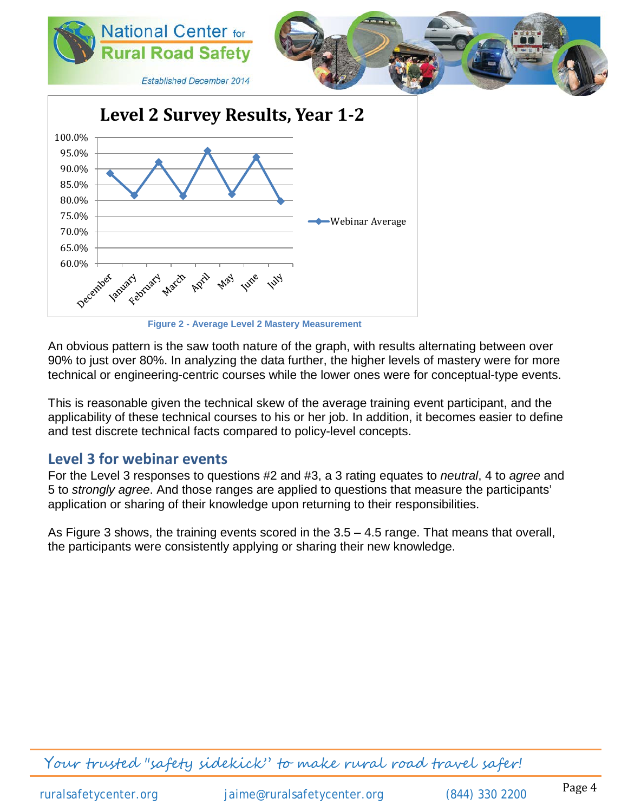

**Figure 2 - Average Level 2 Mastery Measurement**

An obvious pattern is the saw tooth nature of the graph, with results alternating between over 90% to just over 80%. In analyzing the data further, the higher levels of mastery were for more technical or engineering-centric courses while the lower ones were for conceptual-type events.

This is reasonable given the technical skew of the average training event participant, and the applicability of these technical courses to his or her job. In addition, it becomes easier to define and test discrete technical facts compared to policy-level concepts.

#### **Level 3 for webinar events**

For the Level 3 responses to questions #2 and #3, a 3 rating equates to *neutral*, 4 to *agree* and 5 to *strongly agree*. And those ranges are applied to questions that measure the participants' application or sharing of their knowledge upon returning to their responsibilities.

As Figure 3 shows, the training events scored in the 3.5 – 4.5 range. That means that overall, the participants were consistently applying or sharing their new knowledge.

Your trusted "safety sidekick" to make rural road travel safer!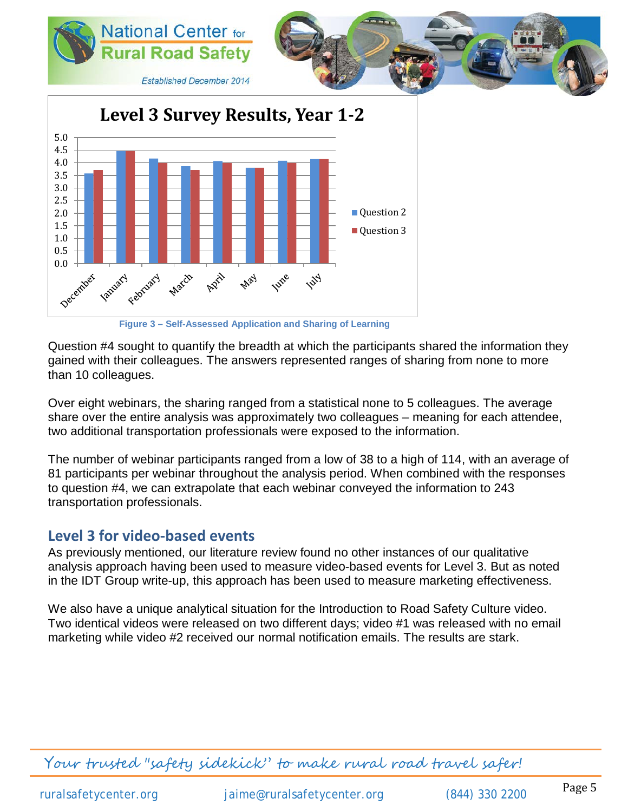

**Figure 3 – Self-Assessed Application and Sharing of Learning**

Question #4 sought to quantify the breadth at which the participants shared the information they gained with their colleagues. The answers represented ranges of sharing from none to more than 10 colleagues.

Over eight webinars, the sharing ranged from a statistical none to 5 colleagues. The average share over the entire analysis was approximately two colleagues – meaning for each attendee, two additional transportation professionals were exposed to the information.

The number of webinar participants ranged from a low of 38 to a high of 114, with an average of 81 participants per webinar throughout the analysis period. When combined with the responses to question #4, we can extrapolate that each webinar conveyed the information to 243 transportation professionals.

### **Level 3 for video-based events**

As previously mentioned, our literature review found no other instances of our qualitative analysis approach having been used to measure video-based events for Level 3. But as noted in the IDT Group write-up, this approach has been used to measure marketing effectiveness.

We also have a unique analytical situation for the Introduction to Road Safety Culture video. Two identical videos were released on two different days; video #1 was released with no email marketing while video #2 received our normal notification emails. The results are stark.

Your trusted "safety sidekick" to make rural road travel safer!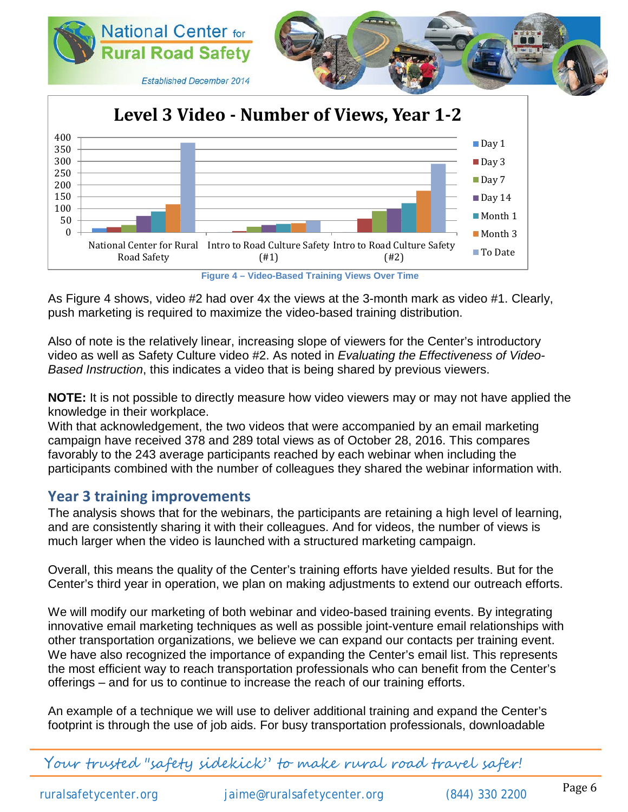

**Figure 4 – Video-Based Training Views Over Time**

As Figure 4 shows, video #2 had over 4x the views at the 3-month mark as video #1. Clearly, push marketing is required to maximize the video-based training distribution.

Also of note is the relatively linear, increasing slope of viewers for the Center's introductory video as well as Safety Culture video #2. As noted in *Evaluating the Effectiveness of Video-Based Instruction*, this indicates a video that is being shared by previous viewers.

**NOTE:** It is not possible to directly measure how video viewers may or may not have applied the knowledge in their workplace.

With that acknowledgement, the two videos that were accompanied by an email marketing campaign have received 378 and 289 total views as of October 28, 2016. This compares favorably to the 243 average participants reached by each webinar when including the participants combined with the number of colleagues they shared the webinar information with.

### **Year 3 training improvements**

The analysis shows that for the webinars, the participants are retaining a high level of learning, and are consistently sharing it with their colleagues. And for videos, the number of views is much larger when the video is launched with a structured marketing campaign.

Overall, this means the quality of the Center's training efforts have yielded results. But for the Center's third year in operation, we plan on making adjustments to extend our outreach efforts.

We will modify our marketing of both webinar and video-based training events. By integrating innovative email marketing techniques as well as possible joint-venture email relationships with other transportation organizations, we believe we can expand our contacts per training event. We have also recognized the importance of expanding the Center's email list. This represents the most efficient way to reach transportation professionals who can benefit from the Center's offerings – and for us to continue to increase the reach of our training efforts.

An example of a technique we will use to deliver additional training and expand the Center's footprint is through the use of job aids. For busy transportation professionals, downloadable

Your trusted "safety sidekick" to make rural road travel safer!